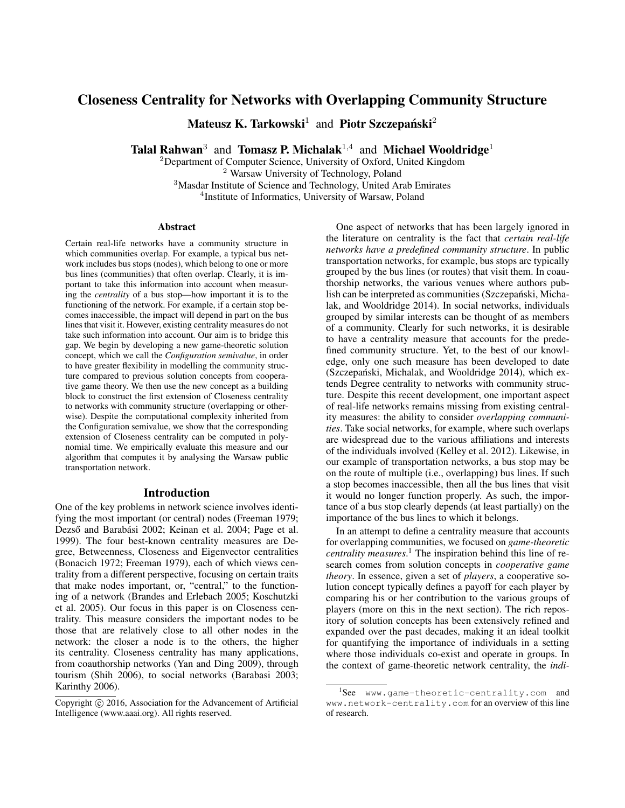# Closeness Centrality for Networks with Overlapping Community Structure

Mateusz K. Tarkowski<sup>1</sup> and Piotr Szczepański<sup>2</sup>

Talal Rahwan<sup>3</sup> and Tomasz P. Michalak<sup>1,4</sup> and Michael Wooldridge<sup>1</sup>

 ${}^{2}$ Department of Computer Science, University of Oxford, United Kingdom Warsaw University of Technology, Poland Masdar Institute of Science and Technology, United Arab Emirates Institute of Informatics, University of Warsaw, Poland

#### Abstract

Certain real-life networks have a community structure in which communities overlap. For example, a typical bus network includes bus stops (nodes), which belong to one or more bus lines (communities) that often overlap. Clearly, it is important to take this information into account when measuring the *centrality* of a bus stop—how important it is to the functioning of the network. For example, if a certain stop becomes inaccessible, the impact will depend in part on the bus lines that visit it. However, existing centrality measures do not take such information into account. Our aim is to bridge this gap. We begin by developing a new game-theoretic solution concept, which we call the *Configuration semivalue*, in order to have greater flexibility in modelling the community structure compared to previous solution concepts from cooperative game theory. We then use the new concept as a building block to construct the first extension of Closeness centrality to networks with community structure (overlapping or otherwise). Despite the computational complexity inherited from the Configuration semivalue, we show that the corresponding extension of Closeness centrality can be computed in polynomial time. We empirically evaluate this measure and our algorithm that computes it by analysing the Warsaw public transportation network.

### Introduction

One of the key problems in network science involves identifying the most important (or central) nodes (Freeman 1979; Dezső and Barabási 2002; Keinan et al. 2004; Page et al. 1999). The four best-known centrality measures are Degree, Betweenness, Closeness and Eigenvector centralities (Bonacich 1972; Freeman 1979), each of which views centrality from a different perspective, focusing on certain traits that make nodes important, or, "central," to the functioning of a network (Brandes and Erlebach 2005; Koschutzki et al. 2005). Our focus in this paper is on Closeness centrality. This measure considers the important nodes to be those that are relatively close to all other nodes in the network: the closer a node is to the others, the higher its centrality. Closeness centrality has many applications, from coauthorship networks (Yan and Ding 2009), through tourism (Shih 2006), to social networks (Barabasi 2003; Karinthy 2006).

One aspect of networks that has been largely ignored in the literature on centrality is the fact that *certain real-life networks have a predefined community structure*. In public transportation networks, for example, bus stops are typically grouped by the bus lines (or routes) that visit them. In coauthorship networks, the various venues where authors publish can be interpreted as communities (Szczepański, Michalak, and Wooldridge 2014). In social networks, individuals grouped by similar interests can be thought of as members of a community. Clearly for such networks, it is desirable to have a centrality measure that accounts for the predefined community structure. Yet, to the best of our knowledge, only one such measure has been developed to date (Szczepański, Michalak, and Wooldridge 2014), which extends Degree centrality to networks with community structure. Despite this recent development, one important aspect of real-life networks remains missing from existing centrality measures: the ability to consider *overlapping communities*. Take social networks, for example, where such overlaps are widespread due to the various affiliations and interests of the individuals involved (Kelley et al. 2012). Likewise, in our example of transportation networks, a bus stop may be on the route of multiple (i.e., overlapping) bus lines. If such a stop becomes inaccessible, then all the bus lines that visit it would no longer function properly. As such, the importance of a bus stop clearly depends (at least partially) on the importance of the bus lines to which it belongs.

In an attempt to define a centrality measure that accounts for overlapping communities, we focused on *game-theoretic centrality measures*. <sup>1</sup> The inspiration behind this line of research comes from solution concepts in *cooperative game theory*. In essence, given a set of *players*, a cooperative solution concept typically defines a payoff for each player by comparing his or her contribution to the various groups of players (more on this in the next section). The rich repository of solution concepts has been extensively refined and expanded over the past decades, making it an ideal toolkit for quantifying the importance of individuals in a setting where those individuals co-exist and operate in groups. In the context of game-theoretic network centrality, the *indi-*

Copyright (c) 2016, Association for the Advancement of Artificial Intelligence (www.aaai.org). All rights reserved.

<sup>&</sup>lt;sup>1</sup>See www.game-theoretic-centrality.com and www.network-centrality.com for an overview of this line of research.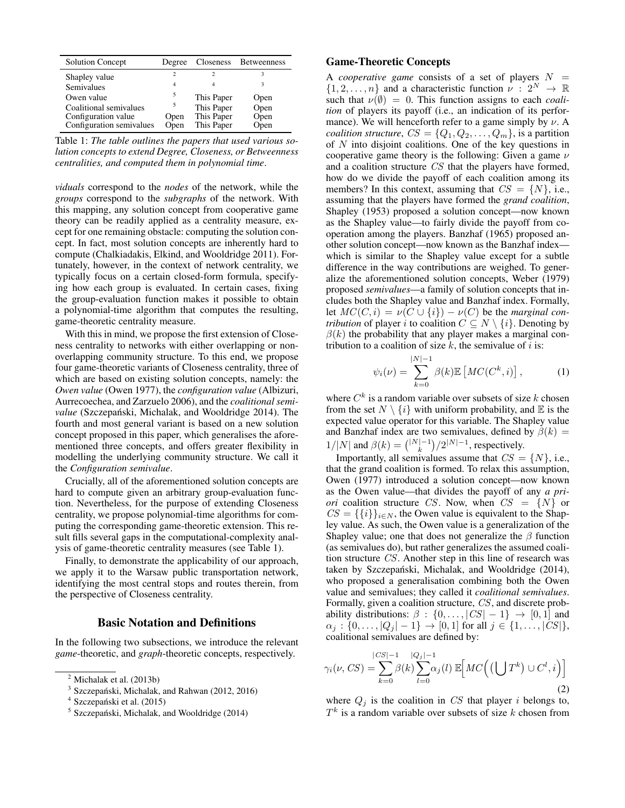| <b>Solution Concept</b>  | Degree | Closeness  | <b>Betweenness</b> |
|--------------------------|--------|------------|--------------------|
| Shapley value            |        | C          |                    |
| Semivalues               |        |            |                    |
| Owen value               | 5      | This Paper | Open               |
| Coalitional semivalues   |        | This Paper | Open               |
| Configuration value      | Open   | This Paper | Open               |
| Configuration semivalues | Open   | This Paper | Open               |

Table 1: *The table outlines the papers that used various solution concepts to extend Degree, Closeness, or Betweenness centralities, and computed them in polynomial time*.

*viduals* correspond to the *nodes* of the network, while the *groups* correspond to the *subgraphs* of the network. With this mapping, any solution concept from cooperative game theory can be readily applied as a centrality measure, except for one remaining obstacle: computing the solution concept. In fact, most solution concepts are inherently hard to compute (Chalkiadakis, Elkind, and Wooldridge 2011). Fortunately, however, in the context of network centrality, we typically focus on a certain closed-form formula, specifying how each group is evaluated. In certain cases, fixing the group-evaluation function makes it possible to obtain a polynomial-time algorithm that computes the resulting, game-theoretic centrality measure.

With this in mind, we propose the first extension of Closeness centrality to networks with either overlapping or nonoverlapping community structure. To this end, we propose four game-theoretic variants of Closeness centrality, three of which are based on existing solution concepts, namely: the *Owen value* (Owen 1977), the *configuration value* (Albizuri, Aurrecoechea, and Zarzuelo 2006), and the *coalitional semivalue* (Szczepański, Michalak, and Wooldridge 2014). The fourth and most general variant is based on a new solution concept proposed in this paper, which generalises the aforementioned three concepts, and offers greater flexibility in modelling the underlying community structure. We call it the *Configuration semivalue*.

Crucially, all of the aforementioned solution concepts are hard to compute given an arbitrary group-evaluation function. Nevertheless, for the purpose of extending Closeness centrality, we propose polynomial-time algorithms for computing the corresponding game-theoretic extension. This result fills several gaps in the computational-complexity analysis of game-theoretic centrality measures (see Table 1).

Finally, to demonstrate the applicability of our approach, we apply it to the Warsaw public transportation network, identifying the most central stops and routes therein, from the perspective of Closeness centrality.

## Basic Notation and Definitions

In the following two subsections, we introduce the relevant *game*-theoretic, and *graph*-theoretic concepts, respectively.

# Game-Theoretic Concepts

A *cooperative game* consists of a set of players  $N =$  $\{1, 2, \ldots, n\}$  and a characteristic function  $\nu : 2^N \to \mathbb{R}$ such that  $\nu(\emptyset) = 0$ . This function assigns to each *coalition* of players its payoff (i.e., an indication of its performance). We will henceforth refer to a game simply by  $\nu$ . A *coalition structure,*  $CS = \{Q_1, Q_2, \ldots, Q_m\}$ , is a partition of  $N$  into disjoint coalitions. One of the key questions in cooperative game theory is the following: Given a game  $\nu$ and a coalition structure CS that the players have formed, how do we divide the payoff of each coalition among its members? In this context, assuming that  $CS = \{N\}$ , i.e., assuming that the players have formed the *grand coalition*, Shapley (1953) proposed a solution concept—now known as the Shapley value—to fairly divide the payoff from cooperation among the players. Banzhaf (1965) proposed another solution concept—now known as the Banzhaf index which is similar to the Shapley value except for a subtle difference in the way contributions are weighed. To generalize the aforementioned solution concepts, Weber (1979) proposed *semivalues*—a family of solution concepts that includes both the Shapley value and Banzhaf index. Formally, let  $MC(C, i) = \nu(C \cup \{i\}) - \nu(C)$  be the *marginal contribution* of player i to coalition  $C \subseteq N \setminus \{i\}$ . Denoting by  $\beta(k)$  the probability that any player makes a marginal contribution to a coalition of size  $k$ , the semivalue of i is:

$$
\psi_i(\nu) = \sum_{k=0}^{|N|-1} \beta(k) \mathbb{E}\left[MC(C^k, i)\right],\tag{1}
$$

where  $C^k$  is a random variable over subsets of size k chosen from the set  $N \setminus \{i\}$  with uniform probability, and  $E$  is the expected value operator for this variable. The Shapley value and Banzhaf index are two semivalues, defined by  $\beta(k)$  =  $1/|N|$  and  $\beta(k) = {\binom{|N|-1}{k}}/2^{|N|-1}$ , respectively.

Importantly, all semivalues assume that  $CS = \{N\}$ , i.e., that the grand coalition is formed. To relax this assumption, Owen (1977) introduced a solution concept—now known as the Owen value—that divides the payoff of any *a priori* coalition structure CS. Now, when  $CS = \{N\}$  or  $CS = \{\{i\}\}_{i \in N}$ , the Owen value is equivalent to the Shapley value. As such, the Owen value is a generalization of the Shapley value; one that does not generalize the  $\beta$  function (as semivalues do), but rather generalizes the assumed coalition structure CS. Another step in this line of research was taken by Szczepański, Michalak, and Wooldridge (2014), who proposed a generalisation combining both the Owen value and semivalues; they called it *coalitional semivalues*. Formally, given a coalition structure, CS, and discrete probability distributions:  $\beta : \{0, \ldots, |CS| - 1\} \rightarrow [0, 1]$  and  $\alpha_j : \{0, \ldots, |Q_j| - 1\} \to [0, 1]$  for all  $j \in \{1, \ldots, |CS|\},$ coalitional semivalues are defined by:

$$
\gamma_i(\nu, CS) = \sum_{k=0}^{|CS|-1} \beta(k) \sum_{l=0}^{|Q_j|-1} \alpha_j(l) \mathbb{E}\Big[MC\Big(\big(\bigcup T^k\big) \cup C^l, i\Big)\Big]
$$
\n(2)

where  $Q_j$  is the coalition in CS that player i belongs to,  $T<sup>k</sup>$  is a random variable over subsets of size k chosen from

Michalak et al. (2013b)

<sup>3</sup> Szczepański, Michalak, and Rahwan (2012, 2016)

<sup>4</sup> Szczepański et al. (2015)

<sup>&</sup>lt;sup>5</sup> Szczepański, Michalak, and Wooldridge (2014)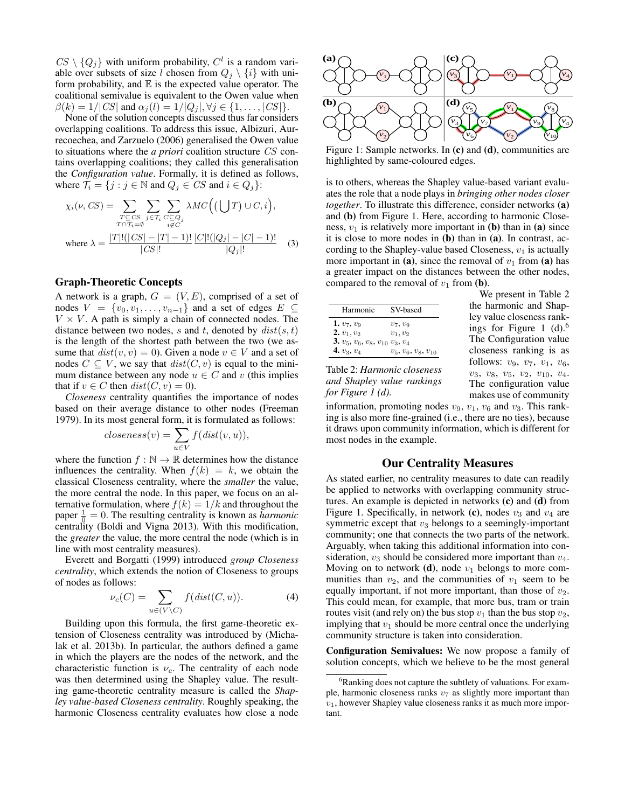$CS \setminus \{Q_j\}$  with uniform probability,  $C^l$  is a random variable over subsets of size l chosen from  $Q_i \setminus \{i\}$  with uniform probability, and  $E$  is the expected value operator. The coalitional semivalue is equivalent to the Owen value when  $\beta(k) = 1/|CS|$  and  $\alpha_i(l) = 1/|Q_i|, \forall j \in \{1, \ldots, |CS|\}.$ 

None of the solution concepts discussed thus far considers overlapping coalitions. To address this issue, Albizuri, Aurrecoechea, and Zarzuelo (2006) generalised the Owen value to situations where the *a priori* coalition structure CS contains overlapping coalitions; they called this generalisation the *Configuration value*. Formally, it is defined as follows, where  $\mathcal{T}_i = \{j : j \in \mathbb{N} \text{ and } Q_j \in CS \text{ and } i \in Q_j\}$ :

$$
\chi_i(\nu, CS) = \sum_{\substack{T \subseteq CS \\ T \cap \mathcal{T}_i = \emptyset}} \sum_{j \in \mathcal{T}_i} \sum_{\substack{C \subseteq Q_j \\ i \notin C}} \lambda MC\Big(\Big(\bigcup T\Big) \cup C, i\Big),
$$
  
where 
$$
\lambda = \frac{|T|!(|CS| - |T| - 1)!}{|CS|!} \frac{|C|!(|Q_j| - |C| - 1)!}{|Q_j|!} \quad (3)
$$

#### Graph-Theoretic Concepts

A network is a graph,  $G = (V, E)$ , comprised of a set of nodes  $V = \{v_0, v_1, \ldots, v_{n-1}\}\$ and a set of edges  $E \subseteq$  $V \times V$ . A path is simply a chain of connected nodes. The distance between two nodes, s and t, denoted by  $dist(s, t)$ is the length of the shortest path between the two (we assume that  $dist(v, v) = 0$ . Given a node  $v \in V$  and a set of nodes  $C \subseteq V$ , we say that  $dist(C, v)$  is equal to the minimum distance between any node  $u \in C$  and v (this implies that if  $v \in C$  then  $dist(C, v) = 0$ ).

*Closeness* centrality quantifies the importance of nodes based on their average distance to other nodes (Freeman 1979). In its most general form, it is formulated as follows:

$$
closeness(v) = \sum_{u \in V} f(dist(v, u)),
$$

where the function  $f : \mathbb{N} \to \mathbb{R}$  determines how the distance influences the centrality. When  $f(k) = k$ , we obtain the classical Closeness centrality, where the *smaller* the value, the more central the node. In this paper, we focus on an alternative formulation, where  $f(k) = 1/k$  and throughout the paper  $\frac{1}{0} = 0$ . The resulting centrality is known as *harmonic* centrality (Boldi and Vigna 2013). With this modification, the *greater* the value, the more central the node (which is in line with most centrality measures).

Everett and Borgatti (1999) introduced *group Closeness centrality*, which extends the notion of Closeness to groups of nodes as follows:

$$
\nu_c(C) = \sum_{u \in (V \setminus C)} f(\text{dist}(C, u)). \tag{4}
$$

Building upon this formula, the first game-theoretic extension of Closeness centrality was introduced by (Michalak et al. 2013b). In particular, the authors defined a game in which the players are the nodes of the network, and the characteristic function is  $\nu_c$ . The centrality of each node was then determined using the Shapley value. The resulting game-theoretic centrality measure is called the *Shapley value-based Closeness centrality*. Roughly speaking, the harmonic Closeness centrality evaluates how close a node



Figure 1: Sample networks. In (c) and (d), communities are highlighted by same-coloured edges.

is to others, whereas the Shapley value-based variant evaluates the role that a node plays in *bringing other nodes closer together*. To illustrate this difference, consider networks (a) and (b) from Figure 1. Here, according to harmonic Closeness,  $v_1$  is relatively more important in (b) than in (a) since it is close to more nodes in (b) than in (a). In contrast, according to the Shapley-value based Closeness,  $v_1$  is actually more important in (a), since the removal of  $v_1$  from (a) has a greater impact on the distances between the other nodes, compared to the removal of  $v_1$  from (**b**).

| Harmonic                                          | SV-based                |
|---------------------------------------------------|-------------------------|
| 1. $v_7, v_9$                                     | $v_7, v_9$              |
| $2. v_1, v_2$                                     | $v_1, v_2$              |
| 3. $v_5$ , $v_6$ , $v_8$ , $v_{10}$ $v_3$ , $v_4$ |                         |
| 4. $v_3, v_4$                                     | $v_5, v_6, v_8, v_{10}$ |
|                                                   |                         |

Table 2: *Harmonic closeness and Shapley value rankings for Figure 1 (d).*

We present in Table 2 the harmonic and Shapley value closeness rankings for Figure 1  $(d)$ .<sup>6</sup> The Configuration value closeness ranking is as follows:  $v_9, v_7, v_1, v_6$ ,  $v_3, v_8, v_5, v_2, v_{10}, v_4.$ The configuration value makes use of community

information, promoting nodes  $v_9$ ,  $v_1$ ,  $v_6$  and  $v_3$ . This ranking is also more fine-grained (i.e., there are no ties), because it draws upon community information, which is different for most nodes in the example.

## Our Centrality Measures

As stated earlier, no centrality measures to date can readily be applied to networks with overlapping community structures. An example is depicted in networks (c) and (d) from Figure 1. Specifically, in network (c), nodes  $v_3$  and  $v_4$  are symmetric except that  $v_3$  belongs to a seemingly-important community; one that connects the two parts of the network. Arguably, when taking this additional information into consideration,  $v_3$  should be considered more important than  $v_4$ . Moving on to network  $(d)$ , node  $v_1$  belongs to more communities than  $v_2$ , and the communities of  $v_1$  seem to be equally important, if not more important, than those of  $v_2$ . This could mean, for example, that more bus, tram or train routes visit (and rely on) the bus stop  $v_1$  than the bus stop  $v_2$ , implying that  $v_1$  should be more central once the underlying community structure is taken into consideration.

Configuration Semivalues: We now propose a family of solution concepts, which we believe to be the most general

<sup>&</sup>lt;sup>6</sup>Ranking does not capture the subtlety of valuations. For example, harmonic closeness ranks  $v_7$  as slightly more important than  $v_1$ , however Shapley value closeness ranks it as much more important.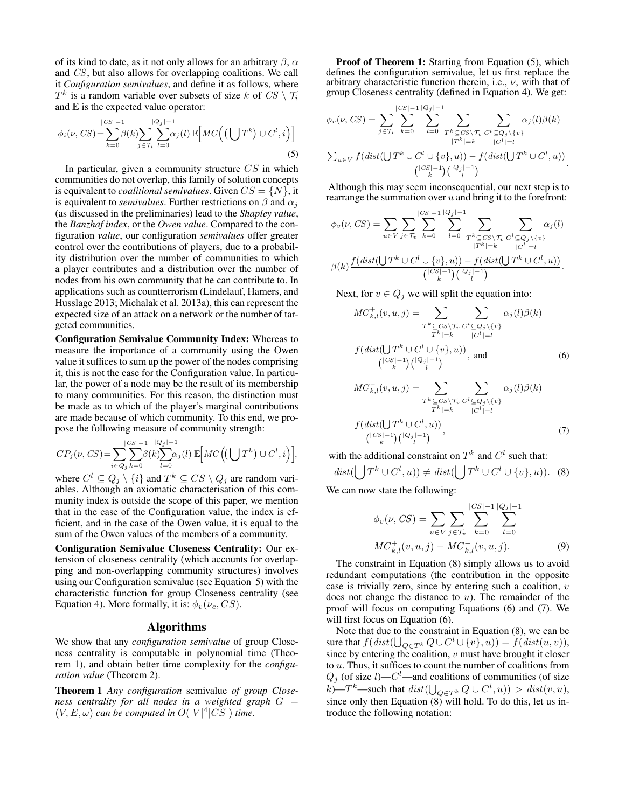of its kind to date, as it not only allows for an arbitrary  $\beta$ ,  $\alpha$ and CS, but also allows for overlapping coalitions. We call it *Configuration semivalues*, and define it as follows, where  $T^k$  is a random variable over subsets of size k of  $CS \setminus \mathcal{T}_i$ and  $E$  is the expected value operator:

$$
\phi_i(\nu, CS) = \sum_{k=0}^{|CS|-1} \beta(k) \sum_{j \in \mathcal{T}_i} \sum_{l=0}^{|Q_j|-1} \alpha_j(l) \mathbb{E}\Big[MC\Big(\big(\bigcup T^k\Big) \cup C^l, i\Big)\Big]
$$
\n(5)

In particular, given a community structure  $CS$  in which communities do not overlap, this family of solution concepts is equivalent to *coalitional semivalues*. Given  $CS = \{N\}$ , it is equivalent to *semivalues*. Further restrictions on  $\beta$  and  $\alpha_i$ (as discussed in the preliminaries) lead to the *Shapley value*, the *Banzhaf index*, or the *Owen value*. Compared to the configuration *value*, our configuration *semivalues* offer greater control over the contributions of players, due to a probability distribution over the number of communities to which a player contributes and a distribution over the number of nodes from his own community that he can contribute to. In applications such as countterrorism (Lindelauf, Hamers, and Husslage 2013; Michalak et al. 2013a), this can represent the expected size of an attack on a network or the number of targeted communities.

Configuration Semivalue Community Index: Whereas to measure the importance of a community using the Owen value it suffices to sum up the power of the nodes comprising it, this is not the case for the Configuration value. In particular, the power of a node may be the result of its membership to many communities. For this reason, the distinction must be made as to which of the player's marginal contributions are made because of which community. To this end, we propose the following measure of community strength:

$$
CP_j(\nu, CS) = \sum_{i \in Q_j} \sum_{k=0}^{|CS|-1} \beta(k) \sum_{l=0}^{|Q_j|-1} \alpha_j(l) \mathbb{E}\Big[MC\Big((\bigcup T^k) \cup C^l, i\Big)\Big],
$$

where  $C^l \subseteq Q_j \setminus \{i\}$  and  $T^k \subseteq CS \setminus Q_j$  are random variables. Although an axiomatic characterisation of this community index is outside the scope of this paper, we mention that in the case of the Configuration value, the index is efficient, and in the case of the Owen value, it is equal to the sum of the Owen values of the members of a community.

Configuration Semivalue Closeness Centrality: Our extension of closeness centrality (which accounts for overlapping and non-overlapping community structures) involves using our Configuration semivalue (see Equation 5) with the characteristic function for group Closeness centrality (see Equation 4). More formally, it is:  $\phi_v(\nu_c, CS)$ .

## Algorithms

We show that any *configuration semivalue* of group Closeness centrality is computable in polynomial time (Theorem 1), and obtain better time complexity for the *configuration value* (Theorem 2).

Theorem 1 *Any configuration* semivalue *of group Closeness centrality for all nodes in a weighted graph* G =  $(V, E, \omega)$  can be computed in  $O(|V|^4 | C)$  time.

Proof of Theorem 1: Starting from Equation (5), which defines the configuration semivalue, let us first replace the arbitrary characteristic function therein, i.e.,  $\nu$ , with that of group Closeness centrality (defined in Equation 4). We get:

$$
\phi_v(\nu, CS) = \sum_{j \in \mathcal{T}_v} \sum_{k=0}^{|CS|-1} \sum_{l=0}^{|Q_j|-1} \sum_{\substack{T^k \subseteq CS \setminus \mathcal{T}_v \\ |T^k| = k}} \sum_{\substack{C^l \subseteq Q_j \setminus \{v\} \\ |C^l| = l}} \alpha_j(l)\beta(k)
$$

$$
\frac{\sum_{u \in V} f(dist(\bigcup T^k \cup C^l \cup \{v\}, u)) - f(dist(\bigcup T^k \cup C^l, u))}{\binom{|CS|-1}{k}\binom{|Q_j|-1}{l}}.
$$

Although this may seem inconsequential, our next step is to rearrange the summation over  $u$  and bring it to the forefront:

$$
\phi_v(\nu, CS) = \sum_{u \in V} \sum_{j \in \mathcal{T}_v} \sum_{k=0}^{|CS|-1} \sum_{l=0}^{|Q_j|-1} \sum_{\substack{T^k \subseteq CS \setminus \mathcal{T}_v \ G^l \subseteq Q_j \setminus \{v\} \\ |T^k| = k}} \sum_{\substack{Q_j \subseteq C \setminus \{v\} \\ |C^l| = l}} \alpha_j(l)
$$

$$
\beta(k) \frac{f(dist(\bigcup T^k \cup C^l \cup \{v\}, u)) - f(dist(\bigcup T^k \cup C^l, u))}{\binom{|CS|-1}{k} \binom{|Q_j| - 1}{l}}.
$$

Next, for  $v \in Q_i$  we will split the equation into:

$$
MC_{k,l}^{+}(v, u, j) = \sum_{\substack{T^{k} \subseteq CS \setminus \mathcal{T}_{v} \\ |T^{k}| = k}} \sum_{\substack{C^{l} \subseteq Q_{j} \setminus \{v\} \\ |C^{l}| = l}} \alpha_{j}(l)\beta(k)
$$

$$
\frac{f\left(\text{dist}(\bigcup_{k} T^{k} \cup C^{l} \cup \{v\}, u)\right)}{\binom{|CS| - 1}{k}\binom{|Q_{j}| - 1}{l}}, \text{ and } (6)
$$

$$
MC_{k,l}^-(v, u, j) = \sum_{\substack{T^k \subseteq CS \setminus \mathcal{T}_v \\ |T^k| = k}} \sum_{\substack{C^l \subseteq Q_j \setminus \{v\} \\ |C^l| = l}} \alpha_j(l)\beta(k)
$$
  

$$
\frac{f\left(\text{dist}(\bigcup_{k} T^k \cup C^l, u)\right)}{\binom{|CS| - 1}{k} \binom{|Q_j| - 1}{l}},
$$
 (7)

with the additional constraint on  $T^k$  and  $C^l$  such that:

$$
dist(\bigcup T^k \cup C^l, u)) \neq dist(\bigcup T^k \cup C^l \cup \{v\}, u)). \tag{8}
$$

We can now state the following:

$$
\phi_v(\nu, CS) = \sum_{u \in V} \sum_{j \in \mathcal{T}_v} \sum_{k=0}^{|CS|-1} \sum_{l=0}^{|Q_j|-1} \newline MC^+_{k,l}(v, u, j) - MC^-_{k,l}(v, u, j).
$$
\n(9)

The constraint in Equation (8) simply allows us to avoid redundant computations (the contribution in the opposite case is trivially zero, since by entering such a coalition,  $v$ does not change the distance to  $u$ ). The remainder of the proof will focus on computing Equations (6) and (7). We will first focus on Equation  $(6)$ .

Note that due to the constraint in Equation (8), we can be sure that  $f(dist(\bigcup_{Q\in T^k} Q\cup C^l\cup \{v\}, u)) = f(dist(u, v)),$ since by entering the coalition,  $v$  must have brought it closer to  $u$ . Thus, it suffices to count the number of coalitions from  $Q_j$  (of size l)— $C^l$ —and coalitions of communities (of size k)—T<sup>k</sup>—such that  $dist(\bigcup_{Q \in T^k} Q \cup C^l, u)) > dist(v, u)$ , since only then Equation  $(8)$  will hold. To do this, let us introduce the following notation: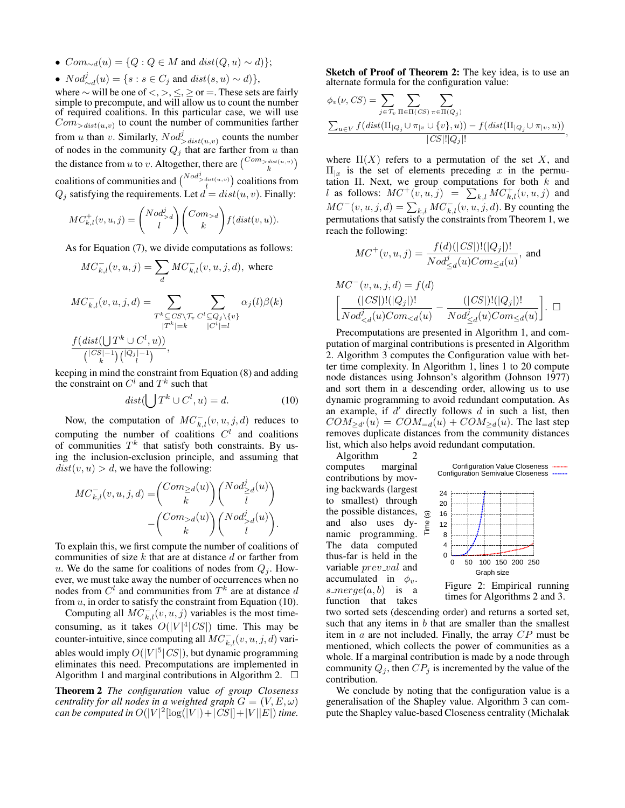- $Com_{\sim d}(u) = \{Q : Q \in M \text{ and } dist(Q, u) \sim d\}$ ;
- $Nod_{\sim d}^{j}(u) = \{s : s \in C_j \text{ and } dist(s, u) \sim d)\},\$

where  $\sim$  will be one of  $\lt, \gt, \leq \gt;$  or  $=$ . These sets are fairly simple to precompute, and will allow us to count the number of required coalitions. In this particular case, we will use  $Com_{\geq dist(u,v)}$  to count the number of communities farther from u than v. Similarly,  $Nod_{\geq dist(u,v)}^j$  counts the number of nodes in the community  $Q_j$  that are farther from u than the distance from u to v. Altogether, there are  $\binom{Com_{>dist(u,v)}}{k}$ coalitions of communities and  $\binom{N \cdot od^j_{> dist(u,v)}}{l}$  coalitions from  $Q_j$  satisfying the requirements. Let  $d = dist(u, v)$ . Finally:

$$
MC_{k,l}^+(v,u,j) = \binom{Nod_{>d}^j}{l} \binom{Com_{>d}}{k} f(dist(v,u)).
$$

As for Equation (7), we divide computations as follows:

$$
MC_{k,l}^-(v, u, j) = \sum_d MC_{k,l}^-(v, u, j, d), \text{ where}
$$
  
\n
$$
MC_{k,l}^-(v, u, j, d) = \sum_{\substack{T^k \subseteq CS \backslash \mathcal{T}_v \subseteq C^l \subseteq Q_j \backslash \{v\} \\ |T^k| = k}} \sum_{\substack{C^l \subseteq Q_j \backslash \{v\} \\ |C^l| = l}} \alpha_j(l)\beta(k)
$$
  
\n
$$
\frac{f(\text{dist}(\bigcup_{k} T^k \cup C^l, u))}{\binom{|CS| - 1}{k} \binom{|Q_j| - 1}{l}},
$$

keeping in mind the constraint from Equation (8) and adding the constraint on  $C^l$  and  $T^k$  such that

$$
dist(\bigcup T^k \cup C^l, u) = d. \tag{10}
$$

Now, the computation of  $MC_{k,l}^-(v, u, j, d)$  reduces to computing the number of coalitions  $C<sup>l</sup>$  and coalitions of communities  $T^k$  that satisfy both constraints. By using the inclusion-exclusion principle, and assuming that  $dist(v, u) > d$ , we have the following:

$$
\begin{split} MC_{k,l}^-(v,u,j,d) =& \binom{Com_{\geq d}(u)}{k}\binom{Nod_{\geq d}^j(u)}{l} \\ &-\binom{Com_{>d}(u)}{k}\binom{Nod_{>d}^j(u)}{l}. \end{split}
$$

To explain this, we first compute the number of coalitions of communities of size  $k$  that are at distance  $d$  or farther from u. We do the same for coalitions of nodes from  $Q_i$ . However, we must take away the number of occurrences when no nodes from  $C^l$  and communities from  $T^k$  are at distance d from  $u$ , in order to satisfy the constraint from Equation (10).

Computing all  $MC_{k,l}^-(v, u, j)$  variables is the most timeconsuming, as it takes  $O(|V|^4|CS|)$  time. This may be counter-intuitive, since computing all  $MC_{k,l}^-(v, u, j, d)$  variables would imply  $O(|V|^5|CS|)$ , but dynamic programming eliminates this need. Precomputations are implemented in Algorithm 1 and marginal contributions in Algorithm 2.  $\Box$ 

Theorem 2 *The configuration* value *of group Closeness centrality for all nodes in a weighted graph*  $G = (V, E, \omega)$ *can be computed in*  $O(|V|^2[\log(|V|)+|C\hat{S}||+|V||E|)$  *time.* 

Sketch of Proof of Theorem 2: The key idea, is to use an alternate formula for the configuration value:

$$
\phi_v(\nu, CS) = \sum_{j \in \mathcal{T}_v} \sum_{\Pi \in \Pi(CS)} \sum_{\pi \in \Pi(Q_j)} \sum_{\pi \in \Pi(Q_j)} \sum_{u \in V} f\left(\text{dist}(\Pi_{|Q_j} \cup \pi_{|v} \cup \{v\}, u)\right) - f\left(\text{dist}(\Pi_{|Q_j} \cup \pi_{|v}, u)\right)} |CS| |Q_j|!},
$$

where  $\Pi(X)$  refers to a permutation of the set X, and  $\Pi_{x}$  is the set of elements preceding x in the permutation  $\Pi$ . Next, we group computations for both  $k$  and l as follows:  $MC^+(\tilde{v}, u, \tilde{j}) = \sum_{k,l} MC^+_{k,l}(v, u, \tilde{j})$  and  $MC^-(v, u, j, d) = \sum_{k,l} MC_{k,l}^-(v, u, j, d)$ . By counting the permutations that satisfy the constraints from Theorem 1, we reach the following:

$$
MC^{+}(v, u, j) = \frac{f(d)(|CS|)!(|Q_j|)!}{Nod_{\leq d}^{j}(u)Com_{\leq d}(u)}, \text{ and}
$$

$$
MC^-(v, u, j, d) = f(d)
$$
  

$$
\left[ \frac{(|CS|)!(|Q_j|)!}{Nod_{
$$

Precomputations are presented in Algorithm 1, and computation of marginal contributions is presented in Algorithm 2. Algorithm 3 computes the Configuration value with better time complexity. In Algorithm 1, lines 1 to 20 compute node distances using Johnson's algorithm (Johnson 1977) and sort them in a descending order, allowing us to use dynamic programming to avoid redundant computation. As an example, if  $d'$  directly follows  $d$  in such a list, then  $COM_{\ge d'}(u) = COM_{=d}(u) + COM_{\ge d}(u)$ . The last step removes duplicate distances from the community distances list, which also helps avoid redundant computation.

 $\odot$ 

Algorithm 2 computes marginal contributions by moving backwards (largest to smallest) through the possible distances, and also uses dynamic programming. The data computed thus-far is held in the variable *prev\_val* and accumulated in  $\phi_v$ .  $s$ -merge $(a, b)$  is a function that takes



Figure 2: Empirical running times for Algorithms 2 and 3.

two sorted sets (descending order) and returns a sorted set, such that any items in  $b$  that are smaller than the smallest item in  $a$  are not included. Finally, the array  $CP$  must be mentioned, which collects the power of communities as a whole. If a marginal contribution is made by a node through community  $Q_j$ , then  $CP_j$  is incremented by the value of the contribution.

We conclude by noting that the configuration value is a generalisation of the Shapley value. Algorithm 3 can compute the Shapley value-based Closeness centrality (Michalak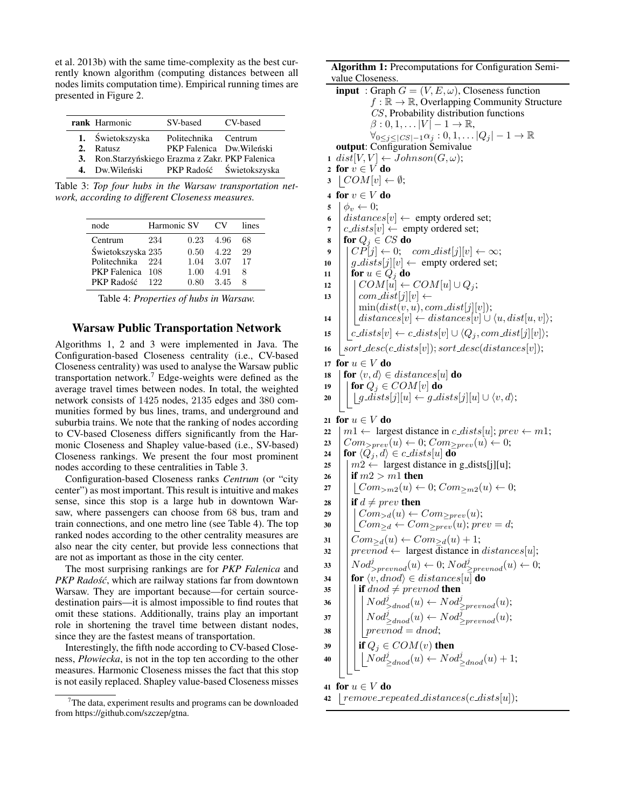et al. 2013b) with the same time-complexity as the best currently known algorithm (computing distances between all nodes limits computation time). Empirical running times are presented in Figure 2.

| rank Harmonic                                                                                                                 | SV-based CV-based                                 |  |
|-------------------------------------------------------------------------------------------------------------------------------|---------------------------------------------------|--|
| 1. Świetokszyska<br>2. Ratusz<br>3. Ron.Starzyńskiego Erazma z Zakr. PKP Falenica<br>4. Dw. Wileński PKP Radość Świetokszyska | Politechnika Centrum<br>PKP Falenica Dw. Wileński |  |

Table 3: *Top four hubs in the Warsaw transportation network, according to different Closeness measures.*

| node              | Harmonic SV |      | CV   | lines |
|-------------------|-------------|------|------|-------|
| Centrum           | 234         | 0.23 | 4.96 | 68    |
| Świetokszyska 235 |             | 0.50 | 4.22 | 29    |
| Politechnika      | 224         | 1.04 | 3.07 | 17    |
| PKP Falenica 108  |             | 1.00 | 4.91 | 8     |
| PKP Radość        | 199         | 0.80 | 3.45 |       |

Table 4: *Properties of hubs in Warsaw.*

#### Warsaw Public Transportation Network

Algorithms 1, 2 and 3 were implemented in Java. The Configuration-based Closeness centrality (i.e., CV-based Closeness centrality) was used to analyse the Warsaw public transportation network.<sup>7</sup> Edge-weights were defined as the average travel times between nodes. In total, the weighted network consists of 1425 nodes, 2135 edges and 380 communities formed by bus lines, trams, and underground and suburbia trains. We note that the ranking of nodes according to CV-based Closeness differs significantly from the Harmonic Closeness and Shapley value-based (i.e., SV-based) Closeness rankings. We present the four most prominent nodes according to these centralities in Table 3.

Configuration-based Closeness ranks *Centrum* (or "city center") as most important. This result is intuitive and makes sense, since this stop is a large hub in downtown Warsaw, where passengers can choose from 68 bus, tram and train connections, and one metro line (see Table 4). The top ranked nodes according to the other centrality measures are also near the city center, but provide less connections that are not as important as those in the city center.

The most surprising rankings are for *PKP Falenica* and *PKP Radość*, which are railway stations far from downtown Warsaw. They are important because—for certain sourcedestination pairs—it is almost impossible to find routes that omit these stations. Additionally, trains play an important role in shortening the travel time between distant nodes, since they are the fastest means of transportation.

Interestingly, the fifth node according to CV-based Closeness, *Płowiecka*, is not in the top ten according to the other measures. Harmonic Closeness misses the fact that this stop is not easily replaced. Shapley value-based Closeness misses

### Algorithm 1: Precomputations for Configuration Semivalue Closeness.

|          | value Closeness.                                                                                                                      |
|----------|---------------------------------------------------------------------------------------------------------------------------------------|
|          | <b>input</b> : Graph $G = (V, E, \omega)$ , Closeness function                                                                        |
|          | $f : \mathbb{R} \to \mathbb{R}$ , Overlapping Community Structure                                                                     |
|          | CS, Probability distribution functions                                                                                                |
|          | $\beta:0,1,\ldots V -1\to\mathbb{R},$                                                                                                 |
|          | $\forall_{0 \leq j \leq  CS -1} \alpha_j : 0, 1, \ldots  Q_j  - 1 \to \mathbb{R}$                                                     |
|          | <b>output:</b> Configuration Semivalue                                                                                                |
|          | $1\ dist[V, V] \leftarrow Johnson(G, \omega);$                                                                                        |
|          | 2 for $v \in V$ do                                                                                                                    |
| 3        | $\vert COM[v] \leftarrow \emptyset;$                                                                                                  |
| 4        | for $v \in V$ do                                                                                                                      |
| 5        | $\phi_v \leftarrow 0;$                                                                                                                |
| 6        | $distances[v] \leftarrow \text{ empty ordered set};$                                                                                  |
| 7        | $c\_dists[v] \leftarrow$ empty ordered set;                                                                                           |
| 8        | for $Q_i \in CS$ do                                                                                                                   |
| 9        | $CP[j] \leftarrow 0; \quad com\_dist[j][v] \leftarrow \infty;$                                                                        |
| 10       | $g\_{dists}[j][v] \leftarrow$ empty ordered set;                                                                                      |
| 11       | for $u \in Q_j$ do                                                                                                                    |
| 12       | $COM[u] \leftarrow COM[u] \cup Q_j;$                                                                                                  |
| 13       | $com\_dist[j][v] \leftarrow$                                                                                                          |
|          | $\min(dist(v, u), com\_dist[j][v]);$<br>$distances[v] \leftarrow distances[v] \cup \langle u, dist[u, v] \rangle;$                    |
| 14       |                                                                                                                                       |
| 15       | $c\_dists[v] \leftarrow c\_dists[v] \cup \langle Q_i, com\_dist[j][v] \rangle;$                                                       |
| 16       | $sort\_desc(c\_dists[v]); sort\_desc(distance[s[v]);$                                                                                 |
| 17       | for $u \in V$ do                                                                                                                      |
| 18       | for $\langle v, d \rangle \in distances[u]$ do                                                                                        |
| 19       | for $Q_j \in COM[v]$ do                                                                                                               |
| 20       | $g\_dists[j][u] \leftarrow g\_dists[j][u] \cup \langle v, d \rangle;$                                                                 |
|          |                                                                                                                                       |
| 21       | for $u \in V$ do                                                                                                                      |
| 22       | $m1 \leftarrow$ largest distance in c_dists[u]; prev $\leftarrow m1$ ;<br>$Com_{>prev}(u) \leftarrow 0; Com_{>prev}(u) \leftarrow 0;$ |
| 23<br>24 | for $\langle Q_j, d \rangle \in c\_dists[u]$ do                                                                                       |
| 25       | $m2 \leftarrow$ largest distance in g_dists[j][u];                                                                                    |
| 26       | if $m2 > m1$ then                                                                                                                     |
| 27       | $\vert Com_{>m2}(u) \leftarrow 0; Com_{>m2}(u) \leftarrow 0;$                                                                         |
|          |                                                                                                                                       |
| 28<br>29 | if $d \neq prev$ then<br>$Com_{>d}(u) \leftarrow Com_{>prev}(u);$                                                                     |
| 30       | $Com_{\geq d} \leftarrow Com_{\geq prev}(u); prev = d;$                                                                               |
|          |                                                                                                                                       |
| 31       | $Com_{\geq d}(u) \leftarrow Com_{\geq d}(u) + 1;$                                                                                     |
| 32       | $prevnod \leftarrow$ largest distance in $distances[u];$                                                                              |
| 33       | $Nod_{prevnod}^{j}(u) \leftarrow 0; Nod_{prevnod}^{j}(u) \leftarrow 0;$                                                               |
| 34       | for $\langle v, dnod \rangle \in distances[u]$ do                                                                                     |
| 35       | <b>if</b> $dnod \neq prevnod$ <b>then</b>                                                                                             |
| 36       | $Nod_{\geq dnod}^{j}(u) \leftarrow Nod_{\geq prevnod}^{j}(u);$                                                                        |
| 37       | $Nod_{\geq dnod}^{j}(u) \leftarrow Nod_{\geq prevnod}^{\overline{j}}(u);$                                                             |
| 38       | $\bar{prevnod} = dnod;$                                                                                                               |
| 39       | if $Q_j \in COM(v)$ then                                                                                                              |
|          | $\left  Nod_{\geq dnod}(u) \leftarrow Nod_{\geq dnod}(u) + 1;$                                                                        |
| 40       |                                                                                                                                       |
|          |                                                                                                                                       |
| 41       | for $u \in V$ do                                                                                                                      |
| 42       | $remove\_repeated\_distances(c\_dists[u]);$                                                                                           |

<sup>&</sup>lt;sup>7</sup>The data, experiment results and programs can be downloaded from https://github.com/szczep/gtna.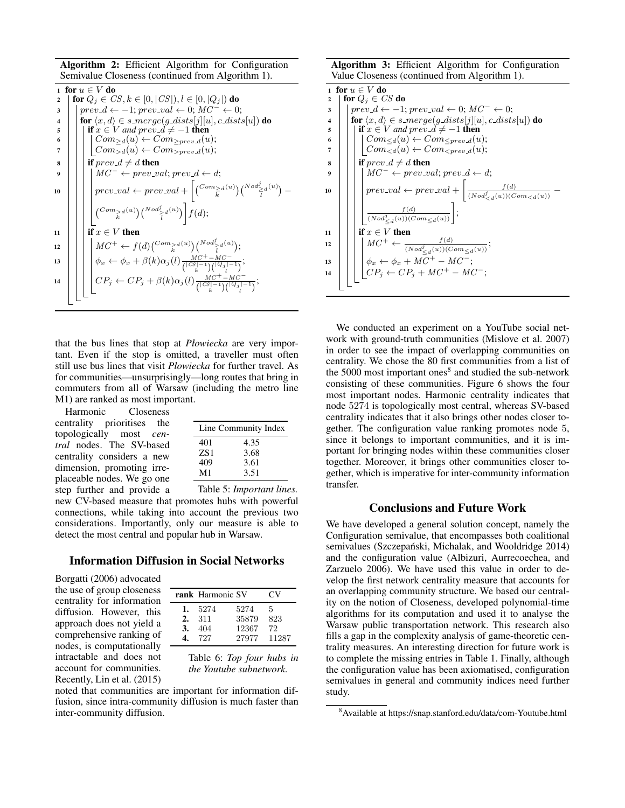Algorithm 2: Efficient Algorithm for Configuration Semivalue Closeness (continued from Algorithm 1).

1 for  $u \in V$  do 2  $\text{for } Q_i \in CS, k \in [0, |CS|), l \in [0, |Q_i|) \text{ do}$  $\begin{aligned} 3 \mid \text{ } | \text{ } prev\_d \leftarrow -1; \text{ } prev\_val \leftarrow 0; \text{ } MC^- \leftarrow 0; \end{aligned}$ 4 for  $\langle x, d \rangle \in s$  merge(g dists[j][u], c dists[u]) do<br>5 for  $f(x, d) \in s$  merge(g dists[j][u], c dists[u]) do if  $x \in V$  *and prev*  $\mathcal{d} \neq -1$  then 6  $\vert \vert \vert$   $\vert$   $Com_{\geq d}(u) \leftarrow Com_{\geq prev\_d}(u);$  $7 \mid | \mid | Com_{>d}(u) \leftarrow Com_{>prev_d}(u);$  $\mathbf{B} \parallel \mathbf{B}$  if  $prev_d \neq d$  then 9  $\vert \vert \vert$   $\vert MC^{-} \leftarrow prev\_val; prev\_d \leftarrow d;$  $\textbf{10} \quad \bigg| \quad \bigg| \quad \bigg| \quad \textbf{prev\_val} \leftarrow \textbf{prev\_val} + \bigg[ \big( \textbf{Com}_{\geq d}^{>a}(u) \big) \big( \textbf{N} \textbf{od}_{\geq d}^{j}(u) \big) \bigg]$  $\frac{1}{l}$ <sup>d</sub>(u)</sup>) –  $\binom{Com_{\geq d}(u)}{k}\binom{Nod_{\geq d}^j(u)}{l} f(d);$  $11 \mid \cdot \mid$  if  $x \in V$  then  $12 \quad \bigg|\quad \bigg|\quad \bigg|\quad MC^+ \leftarrow f(d)\binom{Com_{\stackrel{>}{k}}a^{(u)}}{k}\binom{Nod_{\stackrel{j}{l}}^j}{l}^{(u)};$ 13  $\left| \begin{array}{c} \end{array} \right| \left| \phi_x \leftarrow \phi_x + \beta(k)\alpha_j(l) \frac{MC^+ - MC^-}{\sqrt{|C|} \left| \frac{C}{2} \right| \left| \frac{C}{2} \right|}$  $\frac{MC^+ - MC^-}{\binom{|CS|-1}{k}\binom{|Q_j|-1}{l}}$ ; 14  $\| \cdot \| \cdot C P_j \leftarrow C P_j + \beta(k) \alpha_j(l) \frac{MC^+ - MC^-}{\sqrt{C}S^+ - 1 \sqrt{C} \alpha_l!}$  $\binom{|CS|-1}{k}\binom{|Q_j|-1}{l}$ ) ;

that the bus lines that stop at *Płowiecka* are very important. Even if the stop is omitted, a traveller must often still use bus lines that visit *Płowiecka* for further travel. As for communities—unsurprisingly—long routes that bring in commuters from all of Warsaw (including the metro line M1) are ranked as most important.

Harmonic Closeness centrality prioritises the topologically most *central* nodes. The SV-based centrality considers a new dimension, promoting irreplaceable nodes. We go one step further and provide a

|     | Line Community Index |
|-----|----------------------|
| 401 | 4.35                 |
| ZS1 | 3.68                 |
| 409 | 3.61                 |
| M1  | 3.51                 |

Table 5: *Important lines.* new CV-based measure that promotes hubs with powerful connections, while taking into account the previous two considerations. Importantly, only our measure is able to detect the most central and popular hub in Warsaw.

# Information Diffusion in Social Networks

Borgatti (2006) advocated the use of group closeness centrality for information diffusion. However, this approach does not yield a comprehensive ranking of nodes, is computationally intractable and does not account for communities. Recently, Lin et al. (2015)

|    | rank Harmonic SV |       | CV.   |
|----|------------------|-------|-------|
| 1. | 5274             | 5274  | 5     |
| 2. | 311              | 35879 | 823   |
| 3. | 404              | 12367 | 72    |
|    | 727              | 27977 | 11287 |

Table 6: *Top four hubs in the Youtube subnetwork.*

noted that communities are important for information diffusion, since intra-community diffusion is much faster than inter-community diffusion.

Algorithm 3: Efficient Algorithm for Configuration Value Closeness (continued from Algorithm 1).

|                       | 1 for $u \in V$ do                                                                                                                                                             |
|-----------------------|--------------------------------------------------------------------------------------------------------------------------------------------------------------------------------|
| $\mathbf{2}$          | for $Q_i \in CS$ do                                                                                                                                                            |
| 3                     | $prev\_d \leftarrow -1; prev\_val \leftarrow 0; MC^{-} \leftarrow 0;$                                                                                                          |
| $\boldsymbol{\Delta}$ | for $\langle x, d \rangle \in s\_merge(g\_dists[j][u], c\_dists[u])$ do                                                                                                        |
| 5                     | if $x \in V$ and prev_d $\neq -1$ then                                                                                                                                         |
| 6                     |                                                                                                                                                                                |
| 7                     | $Com_{\leq d}(u) \leftarrow Com_{\leq prev.d}(u);$<br>$Com_{$                                                                                                                  |
| 8                     | if $prev_d \neq d$ then                                                                                                                                                        |
| 9                     | $MC^- \leftarrow prev\_val; prev\_d \leftarrow d;$                                                                                                                             |
| 10                    | $prev\_val \leftarrow prev\_val + \left[\frac{f(d)}{(Nod_{\leq d}^{j}(u))(Com_{\leq d}(u))}\right]$                                                                            |
|                       | $\frac{f(d)}{(Nod_{\leq d}^{j}(u))(Com_{\leq d}(u))}$ ;                                                                                                                        |
| 11                    | if $x \in V$ then                                                                                                                                                              |
| 12                    | $\begin{cases} MC^+ \leftarrow \frac{f(d)}{(Nod_{\leq d}^j(u))(Com_{\leq d}(u))};\\ \phi_x \leftarrow \phi_x + MC^+ - MC^-;\\ CP_j \leftarrow CP_j + MC^+ - MC^-; \end{cases}$ |
| 13                    |                                                                                                                                                                                |
| 14                    |                                                                                                                                                                                |
|                       |                                                                                                                                                                                |

We conducted an experiment on a YouTube social network with ground-truth communities (Mislove et al. 2007) in order to see the impact of overlapping communities on centrality. We chose the 80 first communities from a list of the 5000 most important ones<sup>8</sup> and studied the sub-network consisting of these communities. Figure 6 shows the four most important nodes. Harmonic centrality indicates that node 5274 is topologically most central, whereas SV-based centrality indicates that it also brings other nodes closer together. The configuration value ranking promotes node 5, since it belongs to important communities, and it is important for bringing nodes within these communities closer together. Moreover, it brings other communities closer together, which is imperative for inter-community information transfer.

# Conclusions and Future Work

We have developed a general solution concept, namely the Configuration semivalue, that encompasses both coalitional semivalues (Szczepański, Michalak, and Wooldridge 2014) and the configuration value (Albizuri, Aurrecoechea, and Zarzuelo 2006). We have used this value in order to develop the first network centrality measure that accounts for an overlapping community structure. We based our centrality on the notion of Closeness, developed polynomial-time algorithms for its computation and used it to analyse the Warsaw public transportation network. This research also fills a gap in the complexity analysis of game-theoretic centrality measures. An interesting direction for future work is to complete the missing entries in Table 1. Finally, although the configuration value has been axiomatised, configuration semivalues in general and community indices need further study.

<sup>8</sup>Available at https://snap.stanford.edu/data/com-Youtube.html